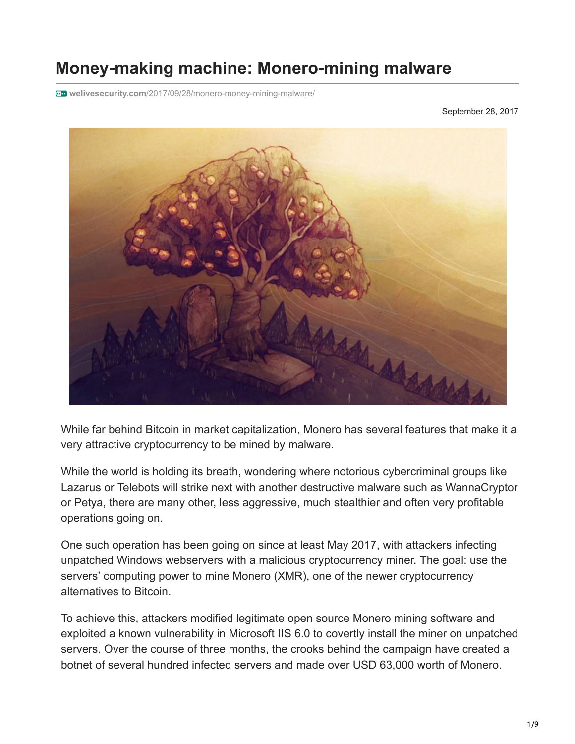# **Money**‑**making machine: Monero**‑**mining malware**

**welivesecurity.com**[/2017/09/28/monero-money-mining-malware/](https://www.welivesecurity.com/2017/09/28/monero-money-mining-malware/)

September 28, 2017



While far behind Bitcoin in market capitalization, Monero has several features that make it a very attractive cryptocurrency to be mined by malware.

While the world is holding its breath, wondering where notorious cybercriminal groups like Lazarus or Telebots will strike next with another destructive malware such as WannaCryptor or Petya, there are many other, less aggressive, much stealthier and often very profitable operations going on.

One such operation has been going on since at least May 2017, with attackers infecting unpatched Windows webservers with a malicious cryptocurrency miner. The goal: use the servers' computing power to mine Monero (XMR), one of the newer cryptocurrency alternatives to Bitcoin.

To achieve this, attackers modified legitimate open source Monero mining software and exploited a known vulnerability in Microsoft IIS 6.0 to covertly install the miner on unpatched servers. Over the course of three months, the crooks behind the campaign have created a botnet of several hundred infected servers and made over USD 63,000 worth of Monero.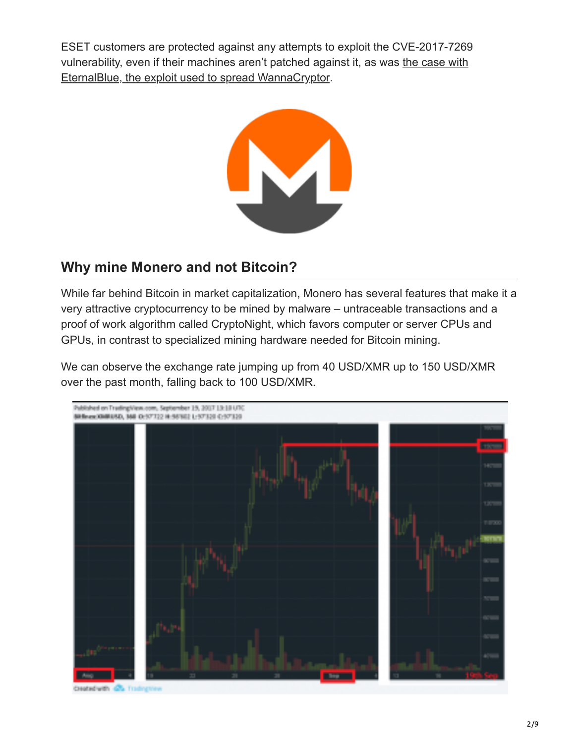ESET customers are protected against any attempts to exploit the CVE-2017-7269 [vulnerability, even if their machines aren't patched against it, as was the case with](https://www.welivesecurity.com/2017/05/18/protected-against-wannacryptor/) EternalBlue, the exploit used to spread WannaCryptor.



#### **Why mine Monero and not Bitcoin?**

While far behind Bitcoin in market capitalization, Monero has several features that make it a very attractive cryptocurrency to be mined by malware – untraceable transactions and a proof of work algorithm called CryptoNight, which favors computer or server CPUs and GPUs, in contrast to specialized mining hardware needed for Bitcoin mining.

We can observe the exchange rate jumping up from 40 USD/XMR up to 150 USD/XMR over the past month, falling back to 100 USD/XMR.



Created with 1975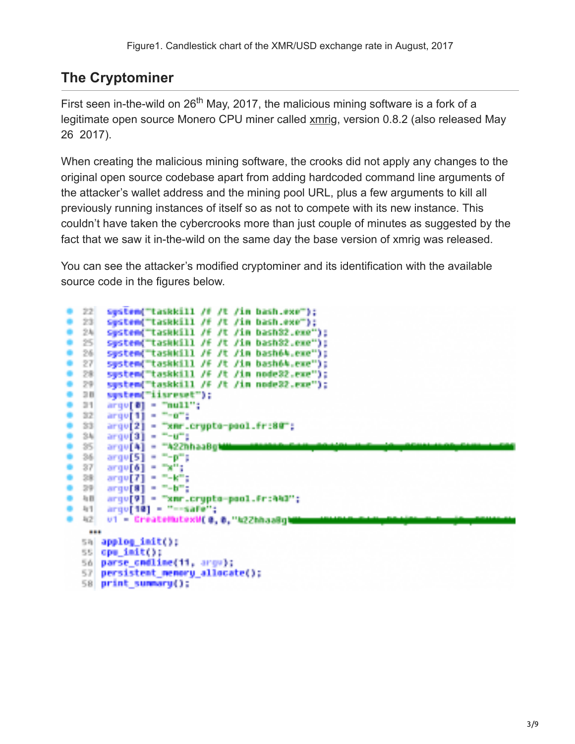### **The Cryptominer**

First seen in-the-wild on 26<sup>th</sup> May, 2017, the malicious mining software is a fork of a legitimate open source Monero CPU miner called [xmrig](https://github.com/xmrig/xmrig/releases/tag/v0.8.2), version 0.8.2 (also released May 26 2017).

When creating the malicious mining software, the crooks did not apply any changes to the original open source codebase apart from adding hardcoded command line arguments of the attacker's wallet address and the mining pool URL, plus a few arguments to kill all previously running instances of itself so as not to compete with its new instance. This couldn't have taken the cybercrooks more than just couple of minutes as suggested by the fact that we saw it in-the-wild on the same day the base version of xmrig was released.

You can see the attacker's modified cryptominer and its identification with the available source code in the figures below.

| 22                             | system("taskkill /f /t /in bash.exe");                      |  |  |  |  |  |  |  |  |
|--------------------------------|-------------------------------------------------------------|--|--|--|--|--|--|--|--|
| 0.23                           | system("taskkill /f /t /in bash.exe");                      |  |  |  |  |  |  |  |  |
| 0.24                           | system("taskkill /f /t /in bash32.exe");                    |  |  |  |  |  |  |  |  |
| • 25                           | system("taskkill /f /t /in bash32.exe");                    |  |  |  |  |  |  |  |  |
| 9.26                           | system("taskkill /f /t /in bash64.exe");                    |  |  |  |  |  |  |  |  |
| $-27$                          | system("taskkill /f /t /in bash64.exe");                    |  |  |  |  |  |  |  |  |
| $-28$                          | system("taskkill /f /t /in node32.exe");                    |  |  |  |  |  |  |  |  |
| 0.29                           | system("taskkill /F /t /in node32.exe");                    |  |  |  |  |  |  |  |  |
| 9.38                           | system("iisreset");                                         |  |  |  |  |  |  |  |  |
| $0 - 01$                       | arge[0] = "null";                                           |  |  |  |  |  |  |  |  |
| 0.32                           | $argu[1] = 7 - o^{n}$ ;                                     |  |  |  |  |  |  |  |  |
| $-33$                          | argv[2] - "xmr.crypto-pool.fr:80";                          |  |  |  |  |  |  |  |  |
| 9.34                           | $argu[3] = 7 - u^2;$                                        |  |  |  |  |  |  |  |  |
| $-25$                          | argu[A] = "A22hhaaBghilloomaalaal                           |  |  |  |  |  |  |  |  |
| $-36$                          | $argu[5] = "-p";$                                           |  |  |  |  |  |  |  |  |
| 9.37                           | $argu[6]$ = "x";                                            |  |  |  |  |  |  |  |  |
| * 28<br>$+ 39$                 | $argu[7] = 7 - k^{2}$ ;                                     |  |  |  |  |  |  |  |  |
| 一项目                            | $argu[8] = -b^{m}$ ;                                        |  |  |  |  |  |  |  |  |
| $0 - 41$                       | argu[9] - "xmr.crypto-pool.fr:ANO";<br>arqu[10] = "--safe"; |  |  |  |  |  |  |  |  |
| 42                             | u1 - CreateMutexW(@.@."k2ZhhaaBghab                         |  |  |  |  |  |  |  |  |
| --                             |                                                             |  |  |  |  |  |  |  |  |
| 長期                             | $applied$ $indt()$ ;                                        |  |  |  |  |  |  |  |  |
| 55.                            | opu_init();                                                 |  |  |  |  |  |  |  |  |
| 56<br>parse_cmdline(11, argu); |                                                             |  |  |  |  |  |  |  |  |
| 57                             | persistent_memory_allocate();                               |  |  |  |  |  |  |  |  |
| 58                             | print_summary();                                            |  |  |  |  |  |  |  |  |
|                                |                                                             |  |  |  |  |  |  |  |  |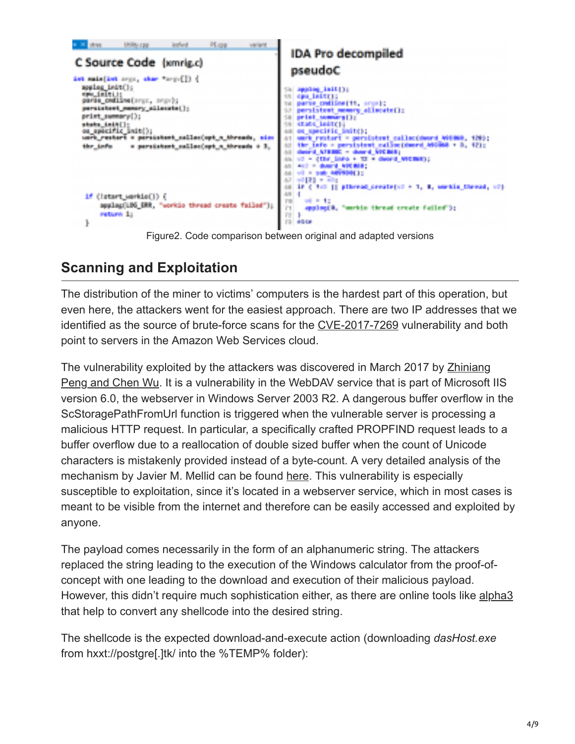| a 31 sept<br>C Source Code (xmrig.c)<br>int main(int argo, share tough[]) {                                                                                                                                   | USBN CHF | leated                                          | PLore. | <b>Variant</b> | <b>IDA Pro decompiled</b><br>pseudoC                                                                                                                                             |
|---------------------------------------------------------------------------------------------------------------------------------------------------------------------------------------------------------------|----------|-------------------------------------------------|--------|----------------|----------------------------------------------------------------------------------------------------------------------------------------------------------------------------------|
| spales_indtflu<br>appa dimitti in<br>parle celline(arg), anoth;<br>persistent_mannry_allocate();<br>print_summary();<br>stats_init];<br>ou_apocific_anit();<br>unrh restort = personnent collectort = throads |          |                                                 |        | <b>Billian</b> | app2og_1s15(3)<br>cas intern<br>parse cratices[11, arcs];<br>sistemt mammary additiontell:<br><b>CONTRACTOR</b><br>secific initity                                               |
| the Lafe.                                                                                                                                                                                                     |          | a persistent callectort a threads.              |        |                | sistemt callactdword WithWi, 1203;<br>ersistent callec(duerd ASSMAN + 8, 12);<br>beard And Beng L<br>医胸下术 医骨腔神经炎<br>おめの 時間 コミ<br>It attends createred + 1, 8, servic thread, cdf |
| if (litert_serkie[]) {<br>return 1:<br>ŀ                                                                                                                                                                      |          | spolag(LDS_ERR, "workip thread create failed"); |        |                | 6H)<br>applicate. Teaching throad create failed in<br>iν.<br>49.00                                                                                                               |

Figure2. Code comparison between original and adapted versions

## **Scanning and Exploitation**

The distribution of the miner to victims' computers is the hardest part of this operation, but even here, the attackers went for the easiest approach. There are two IP addresses that we identified as the source of brute-force scans for the [CVE-2017-7269](http://www.cvedetails.com/cve/CVE-2017-7269/) vulnerability and both point to servers in the Amazon Web Services cloud.

[The vulnerability exploited by the attackers was discovered in March 2017 by Zhiniang](http://www.cvedetails.com/cve/cve-2017-7269) Peng and Chen Wu. It is a vulnerability in the WebDAV service that is part of Microsoft IIS version 6.0, the webserver in Windows Server 2003 R2. A dangerous buffer overflow in the ScStoragePathFromUrl function is triggered when the vulnerable server is processing a malicious HTTP request. In particular, a specifically crafted PROPFIND request leads to a buffer overflow due to a reallocation of double sized buffer when the count of Unicode characters is mistakenly provided instead of a byte-count. A very detailed analysis of the mechanism by Javier M. Mellid can be found [here](https://javiermunhoz.com/blog/2017/04/17/cve-2017-7269-iis-6.0-webdav-remote-code-execution.html). This vulnerability is especially susceptible to exploitation, since it's located in a webserver service, which in most cases is meant to be visible from the internet and therefore can be easily accessed and exploited by anyone.

The payload comes necessarily in the form of an alphanumeric string. The attackers replaced the string leading to the execution of the Windows calculator from the proof-ofconcept with one leading to the download and execution of their malicious payload. However, this didn't require much sophistication either, as there are online tools like [alpha3](https://github.com/SkyLined/alpha3/) that help to convert any shellcode into the desired string.

The shellcode is the expected download-and-execute action (downloading *dasHost.exe* from hxxt://postgre[.]tk/ into the %TEMP% folder):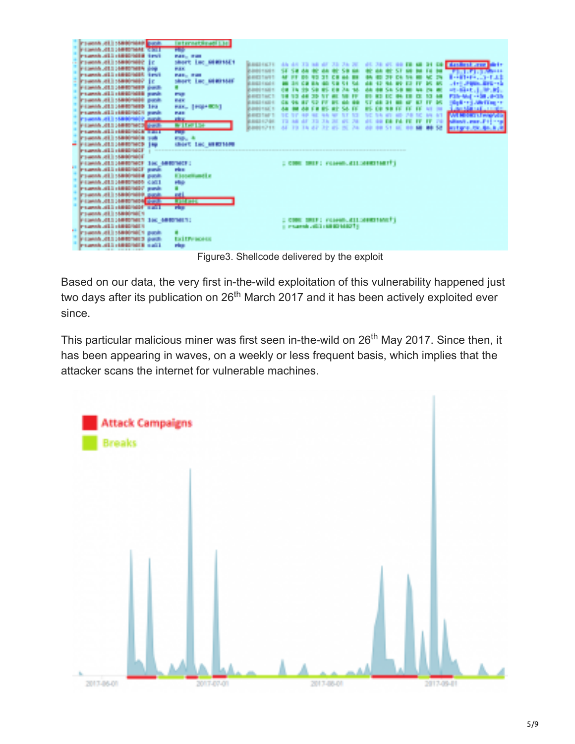|            | 15800 million<br><b>Research All</b><br><b>A SERIES MAR</b><br><b>MERCHERHY ESTATE</b><br>150001002<br><b>CONTRACTOR</b><br>PERMIT JEEP HER HER<br><b>Income all classified</b> incl.<br><b>Projects AL</b><br>а маничане<br>PERMIT JEE HARRINER GULL<br>all clearment punk<br>Present ALL MORPHER puch.<br><b>PERMIT AT EXHIBITION</b><br>A statistical annual<br>i stadovanje posl<br>PERMIT ALL SERVICES FOR<br><b>ALCOHOL: 1988</b><br><b>Presented AT</b><br><b>LEASTNG</b> | <b>Bandi</b><br>u<br><b>SUPPORT</b><br>16<br><b>FAX</b><br>10<br>н<br>Fri I<br><b>PART</b><br>3,620<br><b>TALL</b><br><b>STORY</b><br><b>They</b> | <b>In the case of the case of</b><br><b>Miller House</b><br><b>Lac MARTIN'S</b><br>player to<br><b>Ballie Britt</b><br>short Luc AND160<br><b>FALL</b><br><b>Report Follows</b><br><u>Listenster</u><br><b>STATE</b><br>may a<br>140 610 510<br><b>Chiese</b> III | <b>BANKING FR</b><br><b>ARRIVERS</b><br><b>B-RIGHT FIRST</b><br><b>PARTIES IN 1999</b><br><b>WANTED</b><br><b>STATISTICS</b><br><b>BUNGALOW</b><br><b>RESIDENTS</b> | 44 19 19 42 | <b>22 25 26</b>                                            | -24 |  | <b>SU</b><br><b>BALL</b> | 58 | <b>Literature Leonar</b><br>la-nut<br>.<br>an anns a<br>n e biblio<br>the first factor of the<br><b>Sales March Control</b><br><b>ANTI</b><br>it i man<br><b>Entertain</b> |
|------------|----------------------------------------------------------------------------------------------------------------------------------------------------------------------------------------------------------------------------------------------------------------------------------------------------------------------------------------------------------------------------------------------------------------------------------------------------------------------------------|---------------------------------------------------------------------------------------------------------------------------------------------------|-------------------------------------------------------------------------------------------------------------------------------------------------------------------------------------------------------------------------------------------------------------------|---------------------------------------------------------------------------------------------------------------------------------------------------------------------|-------------|------------------------------------------------------------|-----|--|--------------------------|----|----------------------------------------------------------------------------------------------------------------------------------------------------------------------------|
| <b>ALL</b> | 41114000000<br><b>Primering ATLS SERVICES</b><br><b>The Second</b><br>ALL MANAGER pask<br><b>Committee</b><br><b>PERMIT ALL SERVICES CALL</b><br><b>150 Block of Dender</b><br>ALL MANYARY AVAIL                                                                                                                                                                                                                                                                                 | <b>List All Branch</b><br><b>TERMS</b><br>٠.<br>44                                                                                                | rius.<br><b>Deschard</b> c<br>H.                                                                                                                                                                                                                                  |                                                                                                                                                                     |             | : COR SHIP: FLood All: MONTIALT:                           |     |  |                          |    |                                                                                                                                                                            |
| ■■■        | JELE METROPHY NORR<br>ALL LEEDINGS TALK<br><b>Present ALL MORPHER</b><br>PERMIT ALL MORTANTS THE AUTOMETER<br>International<br>ы<br><b>Process All</b><br><b>PERMIT ALL HARDWEE BRACK</b><br><b>Progress of 5 semigration stations</b>                                                                                                                                                                                                                                           | FП<br><b>Service</b><br>п                                                                                                                         | <b>START OF</b><br><b>La Life posts</b><br>rden.                                                                                                                                                                                                                  |                                                                                                                                                                     |             | ; ONE ONLY reason_clinestiantly<br>a march alla constituto |     |  |                          |    |                                                                                                                                                                            |

Figure3. Shellcode delivered by the exploit

Based on our data, the very first in-the-wild exploitation of this vulnerability happened just two days after its publication on 26<sup>th</sup> March 2017 and it has been actively exploited ever since.

This particular malicious miner was first seen in-the-wild on 26<sup>th</sup> May 2017. Since then, it has been appearing in waves, on a weekly or less frequent basis, which implies that the attacker scans the internet for vulnerable machines.

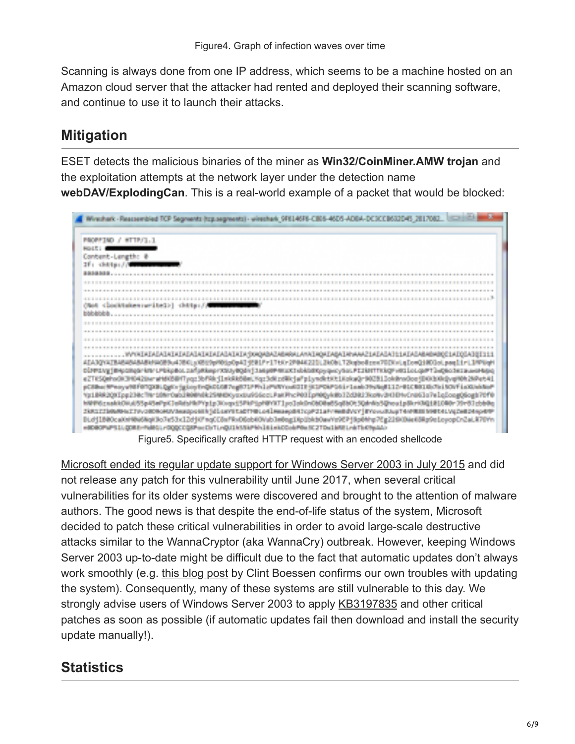Scanning is always done from one IP address, which seems to be a machine hosted on an Amazon cloud server that the attacker had rented and deployed their scanning software, and continue to use it to launch their attacks.

### **Mitigation**

ESET detects the malicious binaries of the miner as **Win32/CoinMiner.AMW trojan** and the exploitation attempts at the network layer under the detection name **webDAV/ExplodingCan**. This is a real-world example of a packet that would be blocked:



Figure5. Specifically crafted HTTP request with an encoded shellcode

[Microsoft ended its regular update support for Windows Server 2003 in July 2015](https://www.microsoft.com/en-us/cloud-platform/windows-server-2003) and did not release any patch for this vulnerability until June 2017, when several critical vulnerabilities for its older systems were discovered and brought to the attention of malware authors. The good news is that despite the end-of-life status of the system, Microsoft decided to patch these critical vulnerabilities in order to avoid large-scale destructive attacks similar to the WannaCryptor (aka WannaCry) outbreak. However, keeping Windows Server 2003 up-to-date might be difficult due to the fact that automatic updates don't always work smoothly (e.g. [this blog post](http://clintboessen.blogspot.cz/2016/12/how-to-patch-windows-server-2003-with.html) by Clint Boessen confirms our own troubles with updating the system). Consequently, many of these systems are still vulnerable to this day. We strongly advise users of Windows Server 2003 to apply [KB3197835](https://www.microsoft.com/en-us/download/details.aspx?id=55422) and other critical patches as soon as possible (if automatic updates fail then download and install the security update manually!).

#### **Statistics**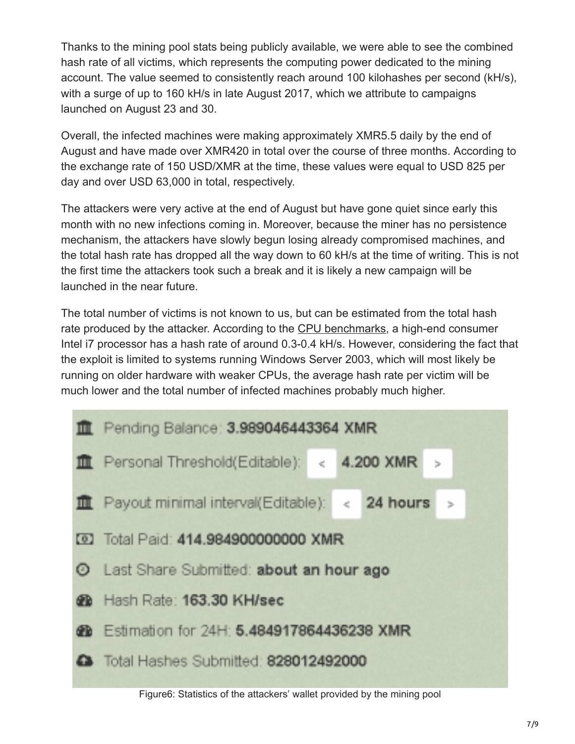Thanks to the mining pool stats being publicly available, we were able to see the combined hash rate of all victims, which represents the computing power dedicated to the mining account. The value seemed to consistently reach around 100 kilohashes per second (kH/s), with a surge of up to 160 kH/s in late August 2017, which we attribute to campaigns launched on August 23 and 30.

Overall, the infected machines were making approximately XMR5.5 daily by the end of August and have made over XMR420 in total over the course of three months. According to the exchange rate of 150 USD/XMR at the time, these values were equal to USD 825 per day and over USD 63,000 in total, respectively.

The attackers were very active at the end of August but have gone quiet since early this month with no new infections coming in. Moreover, because the miner has no persistence mechanism, the attackers have slowly begun losing already compromised machines, and the total hash rate has dropped all the way down to 60 kH/s at the time of writing. This is not the first time the attackers took such a break and it is likely a new campaign will be launched in the near future.

The total number of victims is not known to us, but can be estimated from the total hash rate produced by the attacker. According to the [CPU benchmarks](http://monerobenchmarks.info/#cpu), a high-end consumer Intel i7 processor has a hash rate of around 0.3-0.4 kH/s. However, considering the fact that the exploit is limited to systems running Windows Server 2003, which will most likely be running on older hardware with weaker CPUs, the average hash rate per victim will be much lower and the total number of infected machines probably much higher.



Figure6: Statistics of the attackers' wallet provided by the mining pool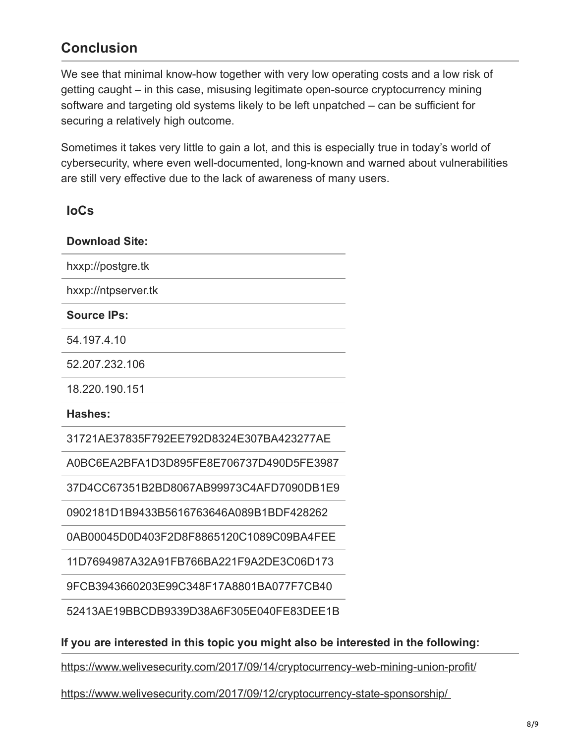#### **Conclusion**

We see that minimal know-how together with very low operating costs and a low risk of getting caught – in this case, misusing legitimate open-source cryptocurrency mining software and targeting old systems likely to be left unpatched – can be sufficient for securing a relatively high outcome.

Sometimes it takes very little to gain a lot, and this is especially true in today's world of cybersecurity, where even well-documented, long-known and warned about vulnerabilities are still very effective due to the lack of awareness of many users.

**IoCs**

| <b>Download Site:</b>                                                              |  |  |  |  |  |
|------------------------------------------------------------------------------------|--|--|--|--|--|
| hxxp://postgre.tk                                                                  |  |  |  |  |  |
| hxxp://ntpserver.tk                                                                |  |  |  |  |  |
| <b>Source IPs:</b>                                                                 |  |  |  |  |  |
| 54.197.4.10                                                                        |  |  |  |  |  |
| 52.207.232.106                                                                     |  |  |  |  |  |
| 18.220.190.151                                                                     |  |  |  |  |  |
| Hashes:                                                                            |  |  |  |  |  |
| 31721AE37835F792EE792D8324E307BA423277AE                                           |  |  |  |  |  |
| A0BC6EA2BFA1D3D895FE8E706737D490D5FE3987                                           |  |  |  |  |  |
| 37D4CC67351B2BD8067AB99973C4AFD7090DB1E9                                           |  |  |  |  |  |
| 0902181D1B9433B5616763646A089B1BDF428262                                           |  |  |  |  |  |
| 0AB00045D0D403F2D8F8865120C1089C09BA4FEE                                           |  |  |  |  |  |
| 11D7694987A32A91FB766BA221F9A2DE3C06D173                                           |  |  |  |  |  |
| 9FCB3943660203E99C348F17A8801BA077F7CB40                                           |  |  |  |  |  |
| 52413AE19BBCDB9339D38A6F305E040FE83DEE1B                                           |  |  |  |  |  |
| If you are interested in this topic you might also be interested in the following: |  |  |  |  |  |
| https://www.welivesecurity.com/2017/09/14/cryptocurrency-web-mining-union-profit/  |  |  |  |  |  |

<https://www.welivesecurity.com/2017/09/12/cryptocurrency-state-sponsorship/>